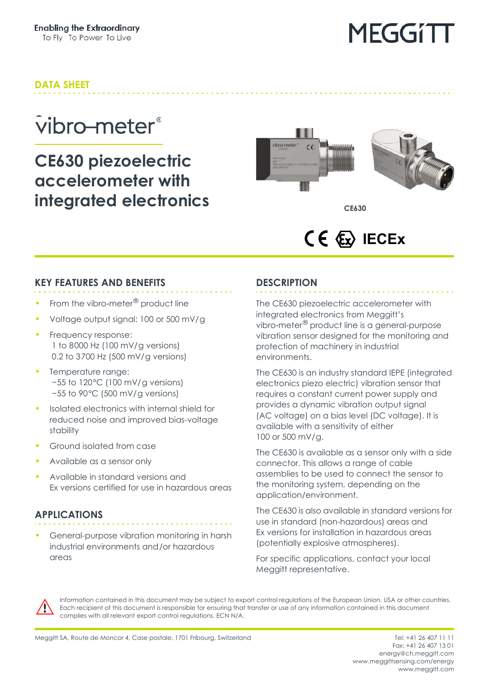# MEGGITI

### **DATA SHEET**

### vibro-meter<sup>®</sup>

### **CE630 piezoelectric accelerometer with integrated electronics**



**CE630**

### **CE**  $\langle \xi_x \rangle$  **IECEX**

#### **KEY FEATURES AND BENEFITS**

- From the vibro-meter<sup>®</sup> product line
- Voltage output signal: 100 or 500 mV/g
- Frequency response: 1 to 8000 Hz (100 mV/g versions) 0.2 to 3700 Hz (500 mV/g versions)
- Temperature range: −55 to 120°C (100 mV/g versions) −55 to 90°C (500 mV/g versions)
- Isolated electronics with internal shield for reduced noise and improved bias-voltage stability
- Ground isolated from case
- Available as a sensor only
- Available in standard versions and Ex versions certified for use in hazardous areas

#### **APPLICATIONS**

• General-purpose vibration monitoring in harsh industrial environments and/or hazardous areas

#### **DESCRIPTION**

The CE630 piezoelectric accelerometer with integrated electronics from Meggitt's vibro-meter® product line is a general-purpose vibration sensor designed for the monitoring and protection of machinery in industrial environments.

The CE630 is an industry standard IEPE (integrated electronics piezo electric) vibration sensor that requires a constant current power supply and provides a dynamic vibration output signal (AC voltage) on a bias level (DC voltage). It is available with a sensitivity of either 100 or 500 mV/g.

The CE630 is available as a sensor only with a side connector. This allows a range of cable assemblies to be used to connect the sensor to the monitoring system, depending on the application/environment.

The CE630 is also available in standard versions for use in standard (non-hazardous) areas and Ex versions for installation in hazardous areas (potentially explosive atmospheres).

For specific applications, contact your local Meggitt representative.



Information contained in this document may be subject to export control regulations of the European Union, USA or other countries. Each recipient of this document is responsible for ensuring that transfer or use of any information contained in this document complies with all relevant export control regulations. ECN N/A.

Fax: +41 26 407 13 01 energy@ch.meggitt.com [www.meggittsensing.com/energy](http://www.meggittsensing.com/energy) [www.meggitt.com](http://www.meggitt.com)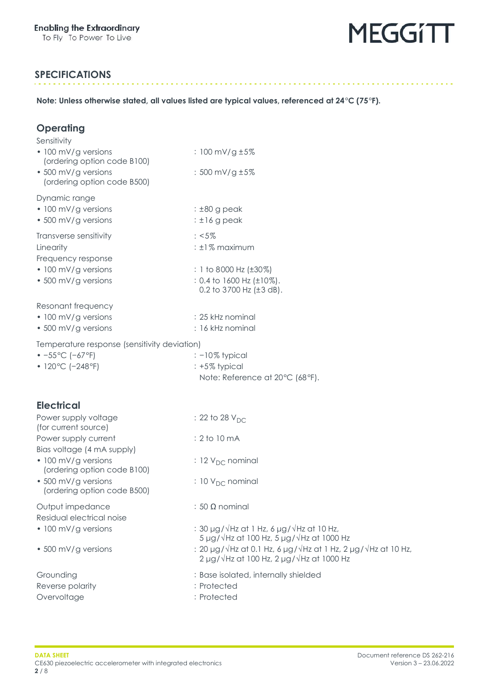

#### **SPECIFICATIONS**

**Note: Unless otherwise stated, all values listed are typical values, referenced at 24°C (75°F).**

| Operating<br>Sensitivity                                         |                                                                                                                                      |
|------------------------------------------------------------------|--------------------------------------------------------------------------------------------------------------------------------------|
| • 100 mV/g versions<br>(ordering option code B100)               | : 100 mV/g ±5%                                                                                                                       |
| • 500 mV/g versions<br>(ordering option code B500)               | : 500 mV/g ±5%                                                                                                                       |
| Dynamic range<br>• 100 mV/g versions                             | $\pm 80$ g peak                                                                                                                      |
| • 500 mV/g versions                                              | $: \pm 16$ g peak                                                                                                                    |
| Transverse sensitivity<br>Linearity<br>Frequency response        | $: <5\%$<br>: ±1% maximum                                                                                                            |
| • 100 mV/g versions<br>• 500 mV/g versions                       | : 1 to 8000 Hz (±30%)<br>: 0.4 to 1600 Hz (±10%).<br>0.2 to 3700 Hz $(\pm 3$ dB).                                                    |
| Resonant frequency<br>• 100 mV/g versions<br>• 500 mV/g versions | : 25 kHz nominal<br>: 16 kHz nominal                                                                                                 |
| Temperature response (sensitivity deviation)                     |                                                                                                                                      |
| $-55^{\circ}$ C (-67°F)<br>• 120°C (-248°F)                      | $: -10\%$ typical<br>: +5% typical<br>Note: Reference at 20°C (68°F).                                                                |
| <b>Electrical</b>                                                |                                                                                                                                      |
| Power supply voltage<br>(for current source)                     | : 22 to 28 $V_{DC}$                                                                                                                  |
| Power supply current<br>Bias voltage (4 mA supply)               | : 2 to 10 mA                                                                                                                         |
| • 100 mV/g versions<br>(ordering option code B100)               | : 12 $V_{DC}$ nominal                                                                                                                |
| • 500 mV/g versions<br>(ordering option code B500)               | : 10 V <sub>DC</sub> nominal                                                                                                         |
| Output impedance<br>Residual electrical noise                    | : 50 $\Omega$ nominal                                                                                                                |
| • 100 mV/g versions                                              | : 30 $\mu$ g/ $\sqrt{Hz}$ at 1 Hz, 6 $\mu$ g/ $\sqrt{Hz}$ at 10 Hz,<br>$5 \mu g/\sqrt{Hz}$ at 100 Hz, $5 \mu g/\sqrt{Hz}$ at 1000 Hz |
| • 500 mV/g versions                                              | : 20 µg/√Hz at 0.1 Hz, 6 µg/√Hz at 1 Hz, 2 µg/√Hz at 10 Hz,<br>$2 \mu g/\sqrt{Hz}$ at 100 Hz, $2 \mu g/\sqrt{Hz}$ at 1000 Hz         |
| Grounding<br>Reverse polarity<br>Overvoltage                     | : Base isolated, internally shielded<br>: Protected<br>: Protected                                                                   |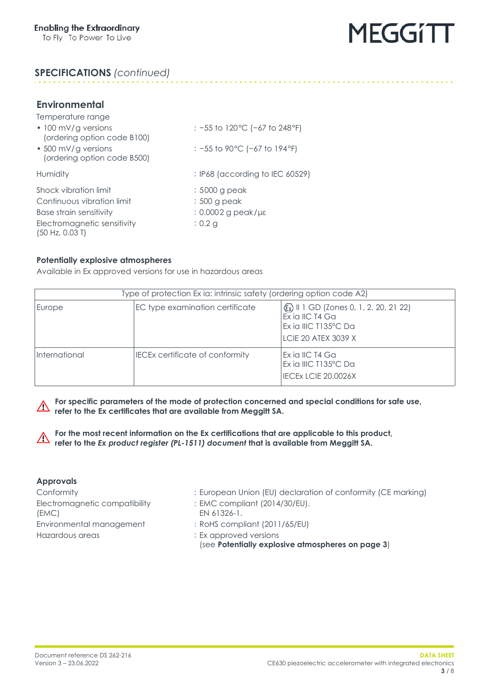

#### **SPECIFICATIONS** *(continued)*

#### **Environmental**

| Temperature range                                  |                                            |
|----------------------------------------------------|--------------------------------------------|
| • 100 mV/g versions<br>(ordering option code B100) | : $-55$ to 120 °C ( $-67$ to 248 °F)       |
| • 500 mV/g versions<br>(ordering option code B500) | : -55 to 90 °C (-67 to 194 °F)             |
| Humidity                                           | $\therefore$ IP68 (according to IEC 60529) |
| Shock vibration limit                              | : 5000 g peak                              |
| Continuous vibration limit                         | : 500 g peak                               |
| Base strain sensitivity                            | $: 0.0002$ g peak/µ $\epsilon$             |
| Electromagnetic sensitivity<br>(50 Hz, 0.03 T)     | $: 0.2$ q                                  |

#### <span id="page-2-0"></span>**Potentially explosive atmospheres**

Available in Ex approved versions for use in hazardous areas

| Type of protection Ex ia: intrinsic safety (ordering option code A2) |                                        |                                                                                                          |
|----------------------------------------------------------------------|----------------------------------------|----------------------------------------------------------------------------------------------------------|
| Europe                                                               | EC type examination certificate        | (x) II 1 GD (Zones 0, 1, 2, 20, 21 22)<br>Ex ia IIC T4 Ga<br>Ex ia IIIC T135°C Da<br>LCIE 20 ATEX 3039 X |
| International                                                        | <b>IECEx certificate of conformity</b> | IEx ia IIC T4 Ga<br>Ex ia IIIC T135°C Da<br>IECEX LCIE 20.0026X                                          |

<u>a a a a a a a a a a a</u>

**For specific parameters of the mode of protection concerned and special conditions for safe use,**  $\wedge$ **refer to the Ex certificates that are available from Meggitt SA.**

**For the most recent information on the Ex certifications that are applicable to this product,**  $\triangle$ **refer to the** *Ex product register (PL-1511) document* **that is available from Meggitt SA.**

#### **Approvals**

Electromagnetic compatibility (EMC) Environmental management : RoHS compliant (2011/65/EU) Hazardous areas : Ex approved versions

Conformity : European Union (EU) declaration of conformity (CE marking)

- : EMC compliant (2014/30/EU). EN 61326-1.
- 
- - (see **[Potentially explosive atmospheres on page](#page-2-0) 3**)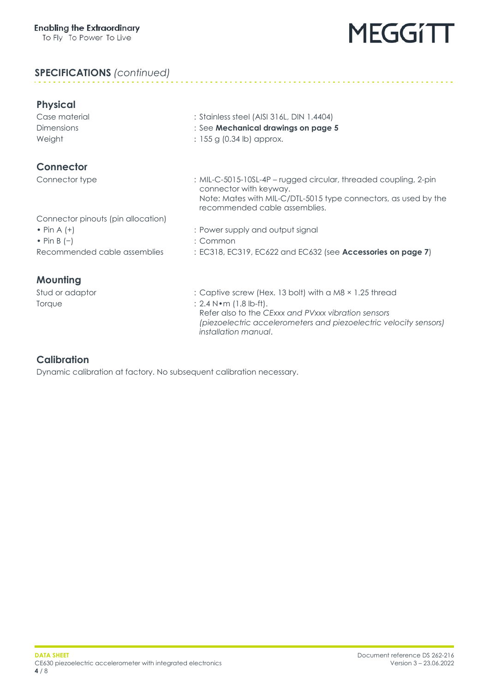## **MEGGITT**

#### **SPECIFICATIONS** *(continued)*

| <b>Physical</b>                    |                                                                                                  |
|------------------------------------|--------------------------------------------------------------------------------------------------|
| Case material                      | : Stainless steel (AISI 316L, DIN 1.4404)                                                        |
| <b>Dimensions</b>                  | : See Mechanical drawings on page 5                                                              |
| Weight                             | : $155 g (0.34 lb)$ approx.                                                                      |
| <b>Connector</b>                   |                                                                                                  |
| Connector type                     | : MIL-C-5015-10SL-4P - rugged circular, threaded coupling, 2-pin<br>connector with keyway.       |
|                                    | Note: Mates with MIL-C/DTL-5015 type connectors, as used by the<br>recommended cable assemblies. |
| Connector pinouts (pin allocation) |                                                                                                  |
| • Pin A $(+)$                      | : Power supply and output signal                                                                 |
| • Pin B $(-)$                      | : Common                                                                                         |
| Recommended cable assemblies       | : EC318, EC319, EC622 and EC632 (see Accessories on page 7)                                      |
| <b>Mounting</b>                    |                                                                                                  |
| Stud or adaptor                    | : Captive screw (Hex. 13 bolt) with a M8 × 1.25 thread                                           |
| Torque                             | $: 2.4 N \cdot m$ (1.8 lb-ft).                                                                   |
|                                    | Refer also to the CExxx and PVxxx vibration sensors                                              |

*installation manual*.

*(piezoelectric accelerometers and piezoelectric velocity sensors)* 

#### **Calibration**

Dynamic calibration at factory. No subsequent calibration necessary.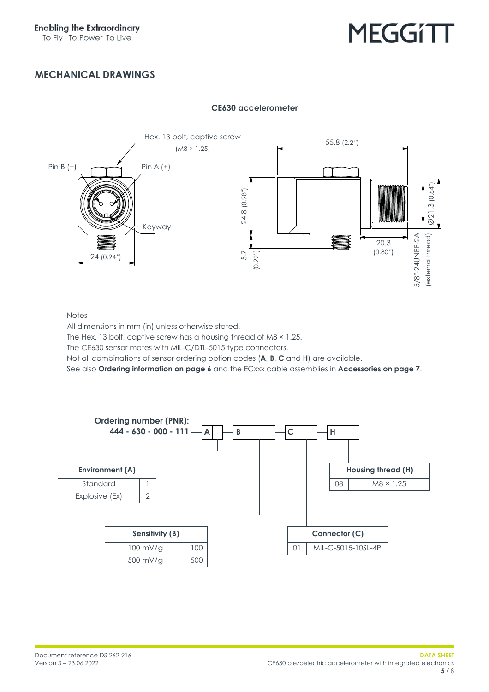# **MEGGITT**

#### <span id="page-4-0"></span>**MECHANICAL DRAWINGS**



#### **CE630 accelerometer**

**Notes** 

All dimensions in mm (in) unless otherwise stated.

The Hex. 13 bolt, captive screw has a housing thread of M8  $\times$  1.25.

The CE630 sensor mates with MIL-C/DTL-5015 type connectors.

Not all combinations of sensor ordering option codes (**A**, **B**, **C** and **H**) are available.

See also **[Ordering information on page](#page-5-0) 6** and the ECxxx cable assemblies in **[Accessories on page](#page-6-0) 7**.

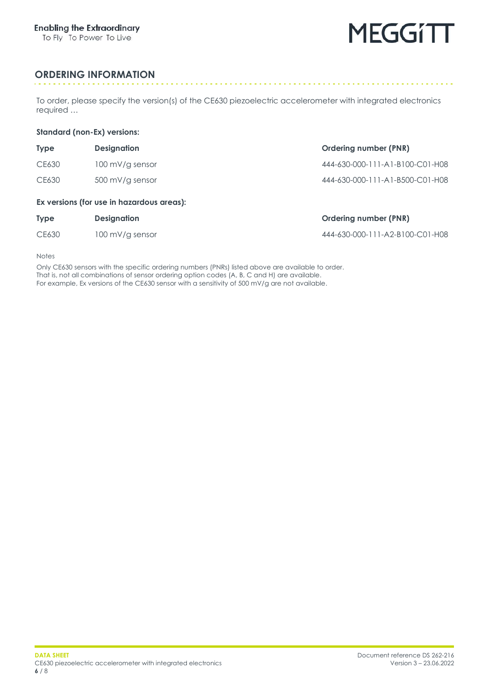

. . . . . . . . . . .

#### <span id="page-5-0"></span>**ORDERING INFORMATION**

To order, please specify the version(s) of the CE630 piezoelectric accelerometer with integrated electronics required …

#### **Standard (non-Ex) versions:**

| <b>Type</b>                               | <b>Designation</b> | <b>Ordering number (PNR)</b>    |
|-------------------------------------------|--------------------|---------------------------------|
| CE630                                     | 100 mV/g sensor    | 444-630-000-111-A1-B100-C01-H08 |
| CE630                                     | 500 mV/g sensor    | 444-630-000-111-A1-B500-C01-H08 |
| Ex versions (for use in hazardous areas). |                    |                                 |

#### **Ex versions (for use in hazardous areas):**

| <b>Type</b> | <b>Designation</b> | <b>Ordering number (PNR)</b>    |
|-------------|--------------------|---------------------------------|
| CE630       | 100 mV/g sensor    | 444-630-000-111-A2-B100-C01-H08 |

Notes

Only CE630 sensors with the specific ordering numbers (PNRs) listed above are available to order. That is, not all combinations of sensor ordering option codes (A, B, C and H) are available. For example, Ex versions of the CE630 sensor with a sensitivity of 500 mV/g are not available.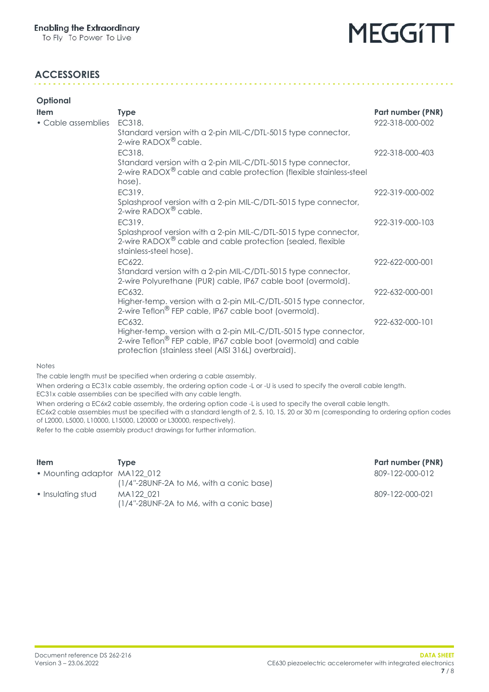### **MEGGITT**

#### <span id="page-6-0"></span>**ACCESSORIES**

| Part number (PNR) |
|-------------------|
| 922-318-000-002   |
|                   |
| 922-318-000-403   |
|                   |
| 922-319-000-002   |
|                   |
| 922-319-000-103   |
|                   |
| 922-622-000-001   |
|                   |
| 922-632-000-001   |
|                   |
| 922-632-000-101   |
|                   |
|                   |

#### Notes

The cable length must be specified when ordering a cable assembly.

When ordering a EC31x cable assembly, the ordering option code -L or -U is used to specify the overall cable length. EC31x cable assemblies can be specified with any cable length.

When ordering a EC6x2 cable assembly, the ordering option code -L is used to specify the overall cable length.

EC6x2 cable assembles must be specified with a standard length of 2, 5, 10, 15, 20 or 30 m (corresponding to ordering option codes of L2000, L5000, L10000, L15000, L20000 or L30000, respectively).

Refer to the cable assembly product drawings for further information.

| <b>Item</b>                  | Tvpe                                         | Part number (PNR) |
|------------------------------|----------------------------------------------|-------------------|
| • Mounting adaptor MA122 012 | $(1/4$ "-28UNF-2A to M6, with a conic base)  | 809-122-000-012   |
| • Insulating stud            | MA122 021                                    | 809-122-000-021   |
|                              | $(1/4 - 28$ UNF-2A to M6, with a conic base) |                   |